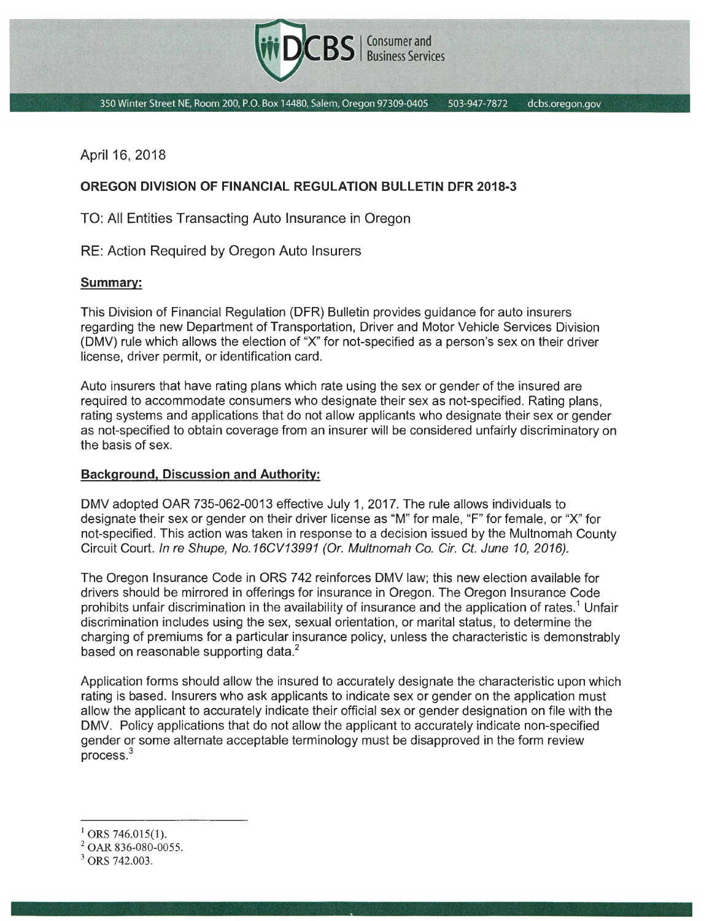

350 Winter Street NE, Room 200, P.O. Box 14480, Salem, Oregon 97309-0405 503-947-7872 dcbs.oregon.gov

April 16, 2018

## **OREGON DIVISION OF FINANCIAL REGULATION BULLETIN DFR 2018-3**

TO: All Entities Transacting Auto Insurance in Oregon

RE: Action Required by Oregon Auto Insurers

## **Summary:**

This Division of Financial Regulation (DFR) Bulletin provides guidance for auto insurers regarding the new Department of Transportation, Driver and Motor Vehicle Services Division (OMV) rule which allows the election of "X" for not-specified as a person's sex on their driver license, driver permit, or identification card.

Auto insurers that have rating plans which rate using the sex or gender of the insured are required to accommodate consumers who designate their sex as not-specified. Rating plans, rating systems and applications that do not allow applicants who designate their sex or gender as not-specified to obtain coverage from an insurer will be considered unfairly discriminatory on the basis of sex.

## **Background, Discussion and Authority:**

OMV adopted OAR 735-062-0013 effective July 1, 2017. The rule allows individuals to designate their sex or gender on their driver license as "M" for male, "F" for female, or "X" for not-specified. This action was taken in response to a decision issued by the Multnomah County Circuit Court. In re Shupe, No.16CV13991 (Or. Multnomah Co. Cir. Ct. June 10, 2016).

The Oregon Insurance Code in ORS 742 reinforces OMV law; this new election available for drivers should be mirrored in offerings for insurance in Oregon. The Oregon Insurance Code prohibits unfair discrimination in the availability of insurance and the application of rates.<sup>1</sup> Unfair discrimination includes using the sex, sexual orientation, or marital status, to determine the charging of premiums for a particular insurance policy, unless the characteristic is demonstrably based on reasonable supporting data.<sup>2</sup>

Application forms should allow the insured to accurately designate the characteristic upon which rating is based. Insurers who ask applicants to indicate sex or gender on the application must allow the applicant to accurately indicate their official sex or gender designation on file with the OMV. Policy applications that do not allow the applicant to accurately indicate non-specified gender or some alternate acceptable terminology must be disapproved in the form review process.<sup>3</sup>

<sup>&</sup>lt;sup>1</sup> ORS 746.015(1).

<sup>&</sup>lt;sup>2</sup> OAR 836-080-0055.

 $3$  ORS 742.003.